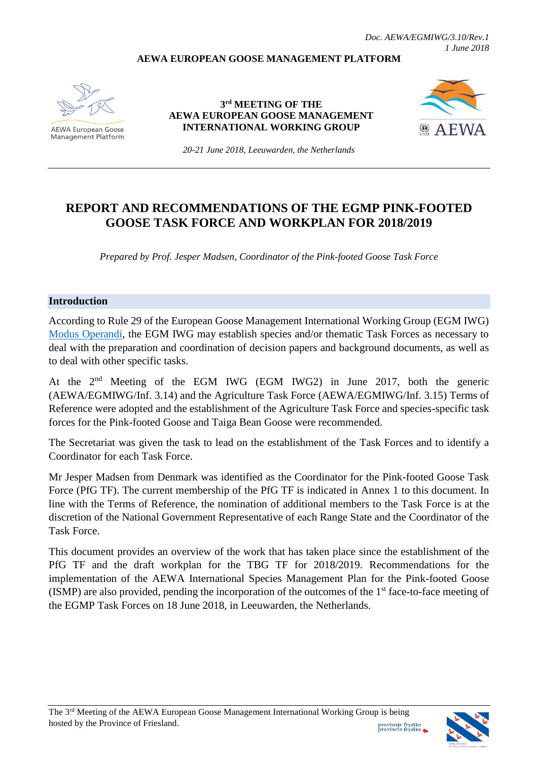#### **AEWA EUROPEAN GOOSE MANAGEMENT PLATFORM**



**AEWA European Goose Management Platform** 

**3 rd MEETING OF THE AEWA EUROPEAN GOOSE MANAGEMENT INTERNATIONAL WORKING GROUP**



*20-21 June 2018, Leeuwarden, the Netherlands*

# **REPORT AND RECOMMENDATIONS OF THE EGMP PINK-FOOTED GOOSE TASK FORCE AND WORKPLAN FOR 2018/2019**

*Prepared by Prof. Jesper Madsen, Coordinator of the Pink-footed Goose Task Force*

#### **Introduction**

According to Rule 29 of the European Goose Management International Working Group (EGM IWG) [Modus Operandi,](http://www.unep-aewa.org/sites/default/files/document/aewa_egmiwg2_inf_4_egmiwg_modus_operandi.pdf) the EGM IWG may establish species and/or thematic Task Forces as necessary to deal with the preparation and coordination of decision papers and background documents, as well as to deal with other specific tasks.

At the 2<sup>nd</sup> Meeting of the EGM IWG (EGM IWG2) in June 2017, both the generic (AEWA/EGMIWG/Inf. 3.14) and the Agriculture Task Force (AEWA/EGMIWG/Inf. 3.15) Terms of Reference were adopted and the establishment of the Agriculture Task Force and species-specific task forces for the Pink-footed Goose and Taiga Bean Goose were recommended.

The Secretariat was given the task to lead on the establishment of the Task Forces and to identify a Coordinator for each Task Force.

Mr Jesper Madsen from Denmark was identified as the Coordinator for the Pink-footed Goose Task Force (PfG TF). The current membership of the PfG TF is indicated in Annex 1 to this document. In line with the Terms of Reference, the nomination of additional members to the Task Force is at the discretion of the National Government Representative of each Range State and the Coordinator of the Task Force.

This document provides an overview of the work that has taken place since the establishment of the PfG TF and the draft workplan for the TBG TF for 2018/2019. Recommendations for the implementation of the AEWA International Species Management Plan for the Pink-footed Goose (ISMP) are also provided, pending the incorporation of the outcomes of the 1st face-to-face meeting of the EGMP Task Forces on 18 June 2018, in Leeuwarden, the Netherlands.

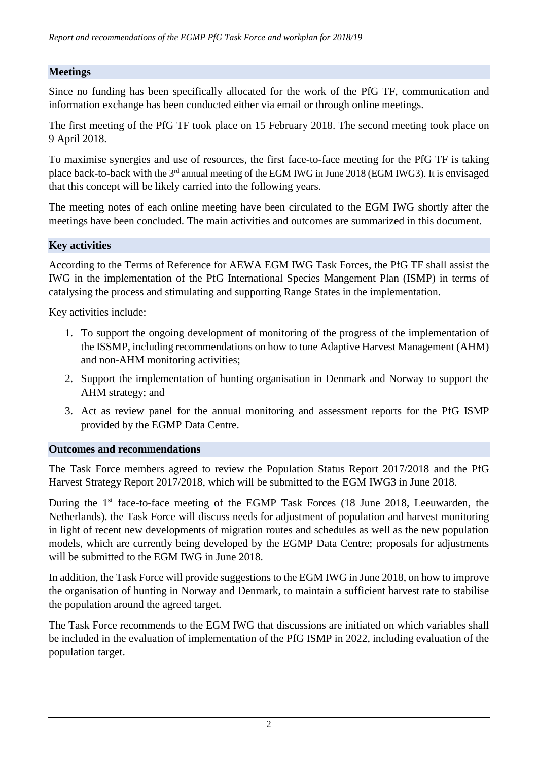# **Meetings**

Since no funding has been specifically allocated for the work of the PfG TF, communication and information exchange has been conducted either via email or through online meetings.

The first meeting of the PfG TF took place on 15 February 2018. The second meeting took place on 9 April 2018.

To maximise synergies and use of resources, the first face-to-face meeting for the PfG TF is taking place back-to-back with the 3<sup>rd</sup> annual meeting of the EGM IWG in June 2018 (EGM IWG3). It is envisaged that this concept will be likely carried into the following years.

The meeting notes of each online meeting have been circulated to the EGM IWG shortly after the meetings have been concluded. The main activities and outcomes are summarized in this document.

### **Key activities**

According to the Terms of Reference for AEWA EGM IWG Task Forces, the PfG TF shall assist the IWG in the implementation of the PfG International Species Mangement Plan (ISMP) in terms of catalysing the process and stimulating and supporting Range States in the implementation.

Key activities include:

- 1. To support the ongoing development of monitoring of the progress of the implementation of the ISSMP, including recommendations on how to tune Adaptive Harvest Management (AHM) and non-AHM monitoring activities;
- 2. Support the implementation of hunting organisation in Denmark and Norway to support the AHM strategy; and
- 3. Act as review panel for the annual monitoring and assessment reports for the PfG ISMP provided by the EGMP Data Centre.

### **Outcomes and recommendations**

The Task Force members agreed to review the Population Status Report 2017/2018 and the PfG Harvest Strategy Report 2017/2018, which will be submitted to the EGM IWG3 in June 2018.

During the 1<sup>st</sup> face-to-face meeting of the EGMP Task Forces (18 June 2018, Leeuwarden, the Netherlands). the Task Force will discuss needs for adjustment of population and harvest monitoring in light of recent new developments of migration routes and schedules as well as the new population models, which are currently being developed by the EGMP Data Centre; proposals for adjustments will be submitted to the EGM IWG in June 2018.

In addition, the Task Force will provide suggestions to the EGM IWG in June 2018, on how to improve the organisation of hunting in Norway and Denmark, to maintain a sufficient harvest rate to stabilise the population around the agreed target.

The Task Force recommends to the EGM IWG that discussions are initiated on which variables shall be included in the evaluation of implementation of the PfG ISMP in 2022, including evaluation of the population target.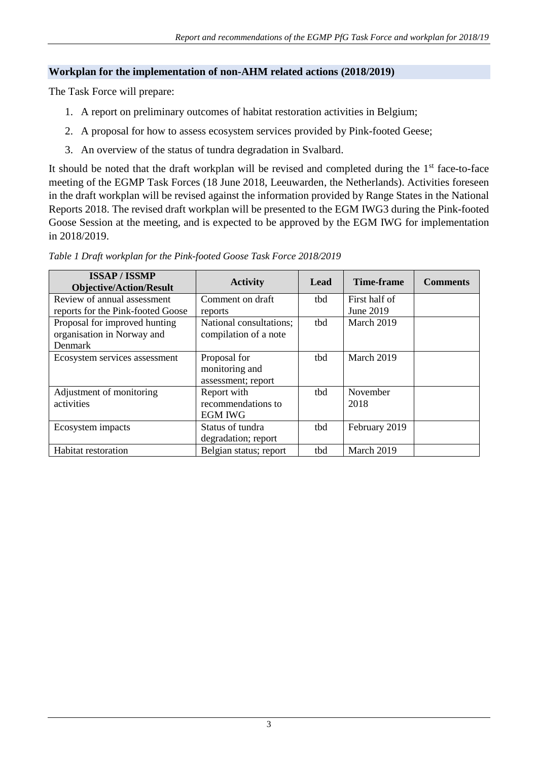# **Workplan for the implementation of non-AHM related actions (2018/2019)**

The Task Force will prepare:

- 1. A report on preliminary outcomes of habitat restoration activities in Belgium;
- 2. A proposal for how to assess ecosystem services provided by Pink-footed Geese;
- 3. An overview of the status of tundra degradation in Svalbard.

It should be noted that the draft workplan will be revised and completed during the  $1<sup>st</sup>$  face-to-face meeting of the EGMP Task Forces (18 June 2018, Leeuwarden, the Netherlands). Activities foreseen in the draft workplan will be revised against the information provided by Range States in the National Reports 2018. The revised draft workplan will be presented to the EGM IWG3 during the Pink-footed Goose Session at the meeting, and is expected to be approved by the EGM IWG for implementation in 2018/2019.

| <b>ISSAP/ISSMP</b><br><b>Objective/Action/Result</b> | <b>Activity</b>         | Lead | <b>Time-frame</b> | <b>Comments</b> |
|------------------------------------------------------|-------------------------|------|-------------------|-----------------|
| Review of annual assessment                          | Comment on draft        | thd  | First half of     |                 |
| reports for the Pink-footed Goose                    | reports                 |      | June 2019         |                 |
| Proposal for improved hunting                        | National consultations; | tbd  | March 2019        |                 |
| organisation in Norway and                           | compilation of a note   |      |                   |                 |
| Denmark                                              |                         |      |                   |                 |
| Ecosystem services assessment                        | Proposal for            | thd  | March 2019        |                 |
|                                                      | monitoring and          |      |                   |                 |
|                                                      | assessment; report      |      |                   |                 |
| Adjustment of monitoring                             | Report with             | thd  | November          |                 |
| activities                                           | recommendations to      |      | 2018              |                 |
|                                                      | <b>EGM IWG</b>          |      |                   |                 |
| Ecosystem impacts                                    | Status of tundra        | thd  | February 2019     |                 |
|                                                      | degradation; report     |      |                   |                 |
| <b>Habitat restoration</b>                           | Belgian status; report  | thd  | March 2019        |                 |

*Table 1 Draft workplan for the Pink-footed Goose Task Force 2018/2019*